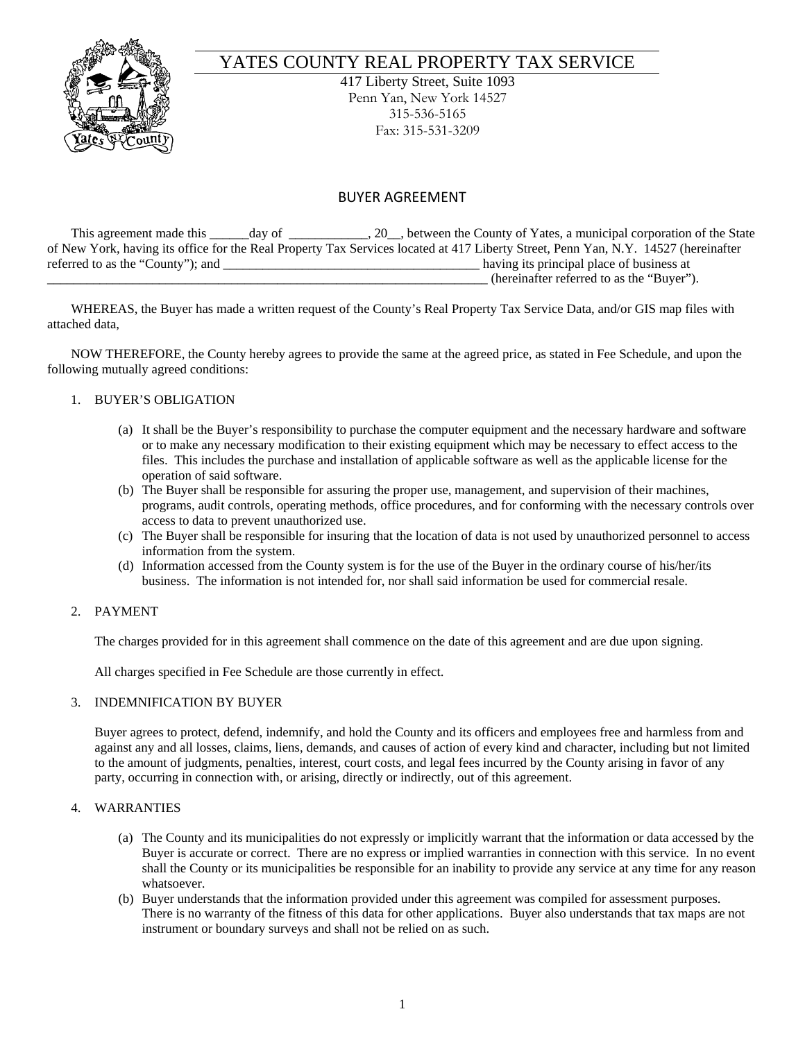

# YATES COUNTY REAL PROPERTY TAX SERVICE

417 Liberty Street, Suite 1093 Penn Yan, New York 14527 315-536-5165 Fax: 315-531-3209

# BUYER AGREEMENT

This agreement made this \_\_\_\_\_day of \_\_\_\_\_\_\_\_, 20\_, between the County of Yates, a municipal corporation of the State of New York, having its office for the Real Property Tax Services located at 417 Liberty Street, Penn Yan, N.Y. 14527 (hereinafter referred to as the "County"); and \_\_\_\_\_\_\_\_\_\_\_\_\_\_\_\_\_\_\_\_\_\_\_\_\_\_\_\_\_\_\_\_\_\_\_\_\_\_\_ having its principal place of business at \_\_\_\_\_\_\_\_\_\_\_\_\_\_\_\_\_\_\_\_\_\_\_\_\_\_\_\_\_\_\_\_\_\_\_\_\_\_\_\_\_\_\_\_\_\_\_\_\_\_\_\_\_\_\_\_\_\_\_\_\_\_\_\_\_\_\_ (hereinafter referred to as the "Buyer").

WHEREAS, the Buyer has made a written request of the County's Real Property Tax Service Data, and/or GIS map files with attached data,

NOW THEREFORE, the County hereby agrees to provide the same at the agreed price, as stated in Fee Schedule, and upon the following mutually agreed conditions:

# 1. BUYER'S OBLIGATION

- (a) It shall be the Buyer's responsibility to purchase the computer equipment and the necessary hardware and software or to make any necessary modification to their existing equipment which may be necessary to effect access to the files. This includes the purchase and installation of applicable software as well as the applicable license for the operation of said software.
- (b) The Buyer shall be responsible for assuring the proper use, management, and supervision of their machines, programs, audit controls, operating methods, office procedures, and for conforming with the necessary controls over access to data to prevent unauthorized use.
- (c) The Buyer shall be responsible for insuring that the location of data is not used by unauthorized personnel to access information from the system.
- (d) Information accessed from the County system is for the use of the Buyer in the ordinary course of his/her/its business. The information is not intended for, nor shall said information be used for commercial resale.

# 2. PAYMENT

The charges provided for in this agreement shall commence on the date of this agreement and are due upon signing.

All charges specified in Fee Schedule are those currently in effect.

# 3. INDEMNIFICATION BY BUYER

Buyer agrees to protect, defend, indemnify, and hold the County and its officers and employees free and harmless from and against any and all losses, claims, liens, demands, and causes of action of every kind and character, including but not limited to the amount of judgments, penalties, interest, court costs, and legal fees incurred by the County arising in favor of any party, occurring in connection with, or arising, directly or indirectly, out of this agreement.

#### 4. WARRANTIES

- (a) The County and its municipalities do not expressly or implicitly warrant that the information or data accessed by the Buyer is accurate or correct. There are no express or implied warranties in connection with this service. In no event shall the County or its municipalities be responsible for an inability to provide any service at any time for any reason whatsoever.
- (b) Buyer understands that the information provided under this agreement was compiled for assessment purposes. There is no warranty of the fitness of this data for other applications. Buyer also understands that tax maps are not instrument or boundary surveys and shall not be relied on as such.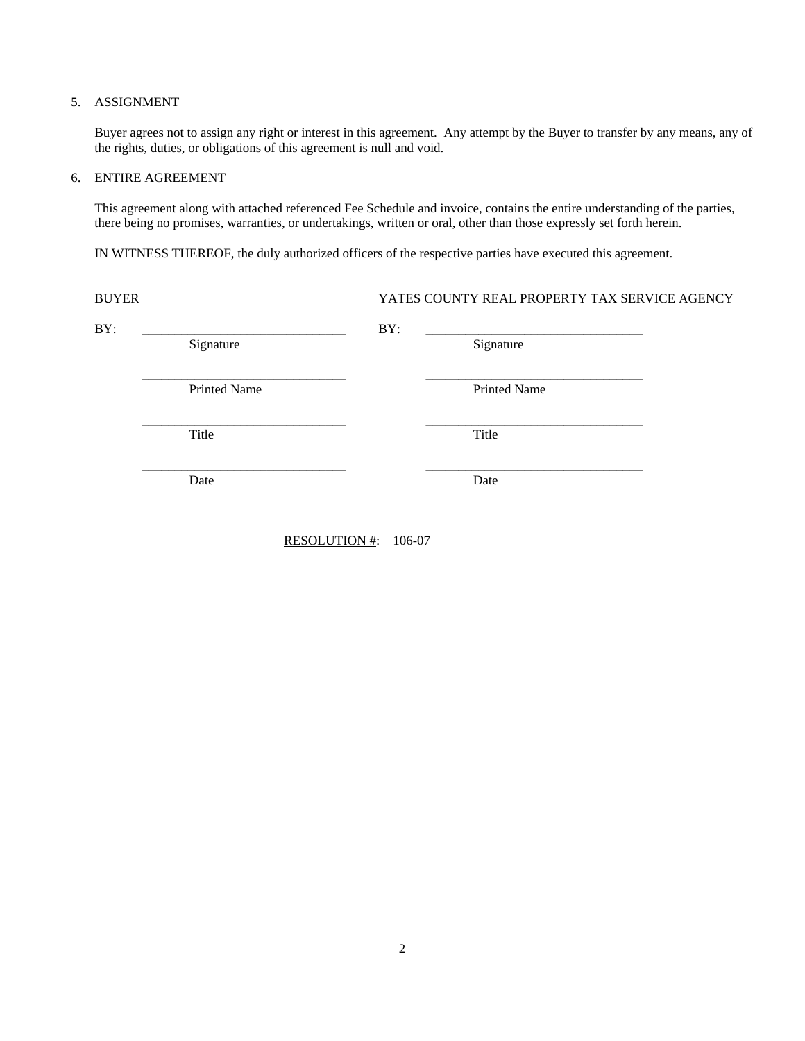# 5. ASSIGNMENT

Buyer agrees not to assign any right or interest in this agreement. Any attempt by the Buyer to transfer by any means, any of the rights, duties, or obligations of this agreement is null and void.

#### 6. ENTIRE AGREEMENT

 This agreement along with attached referenced Fee Schedule and invoice, contains the entire understanding of the parties, there being no promises, warranties, or undertakings, written or oral, other than those expressly set forth herein.

IN WITNESS THEREOF, the duly authorized officers of the respective parties have executed this agreement.

| Signature           | BY: | Signature           |  |
|---------------------|-----|---------------------|--|
| <b>Printed Name</b> |     | <b>Printed Name</b> |  |
| Title               |     | Title               |  |
| Date                |     | Date                |  |
|                     |     |                     |  |

RESOLUTION #: 106-07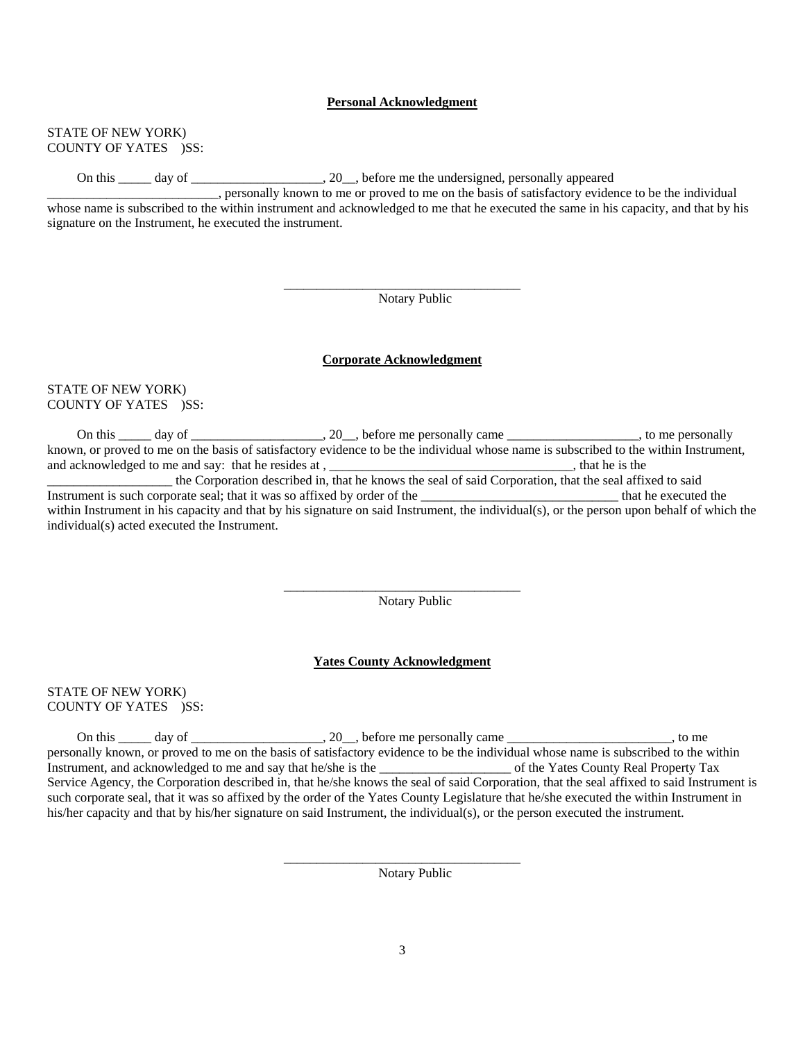#### **Personal Acknowledgment**

#### STATE OF NEW YORK) COUNTY OF YATES )SS:

On this \_\_\_\_\_ day of \_\_\_\_\_\_\_\_\_\_\_\_\_\_\_\_\_, 20\_\_, before me the undersigned, personally appeared

\_\_\_\_\_\_\_\_\_\_\_\_\_\_\_\_\_\_\_\_\_\_\_\_\_\_\_\_\_\_\_\_\_\_\_\_

 $\overline{\phantom{a}}$  , and the contract of the contract of the contract of the contract of the contract of the contract of the contract of the contract of the contract of the contract of the contract of the contract of the contrac

 $\mathcal{L}_\text{max}$  and  $\mathcal{L}_\text{max}$  and  $\mathcal{L}_\text{max}$  and  $\mathcal{L}_\text{max}$  and  $\mathcal{L}_\text{max}$ 

\_\_\_\_\_\_\_\_\_\_\_\_\_\_\_\_\_\_\_\_\_\_\_\_\_\_, personally known to me or proved to me on the basis of satisfactory evidence to be the individual whose name is subscribed to the within instrument and acknowledged to me that he executed the same in his capacity, and that by his signature on the Instrument, he executed the instrument.

Notary Public

#### **Corporate Acknowledgment**

## STATE OF NEW YORK) COUNTY OF YATES )SS:

On this \_\_\_\_\_ day of \_\_\_\_\_\_\_\_\_\_\_\_\_\_\_\_\_, 20\_\_, before me personally came \_\_\_\_\_\_\_\_\_\_\_\_\_\_\_\_\_\_\_\_, to me personally known, or proved to me on the basis of satisfactory evidence to be the individual whose name is subscribed to the within Instrument, and acknowledged to me and say: that he resides at , \_\_\_\_\_\_\_\_\_\_\_\_\_\_\_\_\_\_\_\_\_\_\_\_\_\_\_\_\_\_\_\_\_, that he is the \_\_\_\_\_\_\_\_\_\_\_\_\_\_\_\_\_\_\_ the Corporation described in, that he knows the seal of said Corporation, that the seal affixed to said Instrument is such corporate seal; that it was so affixed by order of the \_\_\_\_\_\_\_\_\_\_\_\_\_\_\_\_\_\_\_\_\_\_\_\_\_\_\_\_\_\_ that he executed the within Instrument in his capacity and that by his signature on said Instrument, the individual(s), or the person upon behalf of which the individual(s) acted executed the Instrument.

Notary Public

#### **Yates County Acknowledgment**

# STATE OF NEW YORK) COUNTY OF YATES )SS:

On this  $\_\_\_\_$  day of  $\_\_\_\_\_\_\_\_$ . 20, before me personally came  $\_\_\_\_\_\_\_\_\_\_\_$ , to me personally known, or proved to me on the basis of satisfactory evidence to be the individual whose name is subscribed to the within Instrument, and acknowledged to me and say that he/she is the  $\blacksquare$  of the Yates County Real Property Tax Service Agency, the Corporation described in, that he/she knows the seal of said Corporation, that the seal affixed to said Instrument is such corporate seal, that it was so affixed by the order of the Yates County Legislature that he/she executed the within Instrument in his/her capacity and that by his/her signature on said Instrument, the individual(s), or the person executed the instrument.

Notary Public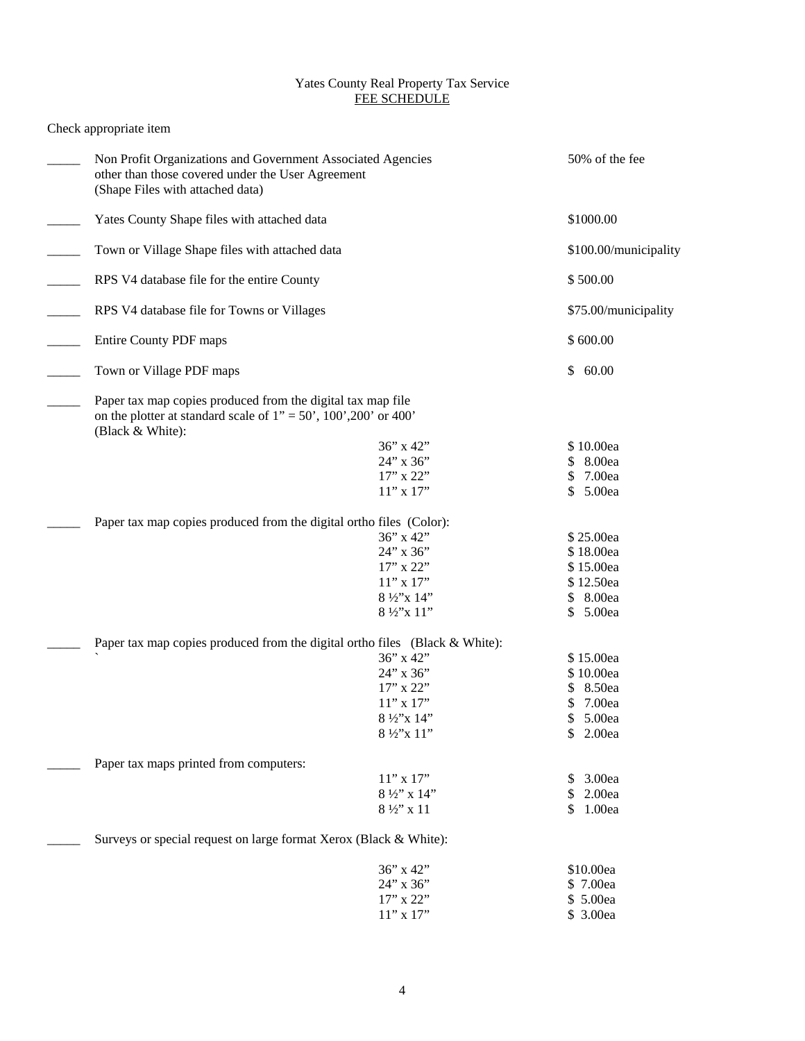# Yates County Real Property Tax Service FEE SCHEDULE

# Check appropriate item

| Non Profit Organizations and Government Associated Agencies<br>other than those covered under the User Agreement<br>(Shape Files with attached data)          |                              | 50% of the fee               |  |
|---------------------------------------------------------------------------------------------------------------------------------------------------------------|------------------------------|------------------------------|--|
| Yates County Shape files with attached data                                                                                                                   |                              | \$1000.00                    |  |
| Town or Village Shape files with attached data                                                                                                                |                              | \$100.00/municipality        |  |
| RPS V4 database file for the entire County                                                                                                                    |                              | \$500.00                     |  |
| RPS V4 database file for Towns or Villages                                                                                                                    |                              | \$75.00/municipality         |  |
| Entire County PDF maps                                                                                                                                        |                              | \$600.00                     |  |
| Town or Village PDF maps                                                                                                                                      |                              | 60.00<br>\$                  |  |
| Paper tax map copies produced from the digital tax map file<br>on the plotter at standard scale of $1" = 50'$ , $100'$ , $200'$ or $400'$<br>(Black & White): |                              |                              |  |
|                                                                                                                                                               | 36" x 42"                    | \$10.00ea                    |  |
|                                                                                                                                                               | 24" x 36"                    | 8.00ea<br>\$                 |  |
|                                                                                                                                                               | 17" x 22"                    | 7.00ea<br>\$                 |  |
|                                                                                                                                                               | $11$ " x $17$ "              | 5.00ea<br>\$                 |  |
| Paper tax map copies produced from the digital ortho files (Color):                                                                                           |                              |                              |  |
|                                                                                                                                                               | $36$ " x $42$ "              | \$25.00ea                    |  |
|                                                                                                                                                               | 24" x 36"                    | \$18.00ea                    |  |
|                                                                                                                                                               | 17" x 22"                    | \$15.00ea                    |  |
|                                                                                                                                                               | $11$ " x $17$ "              | \$12.50ea                    |  |
|                                                                                                                                                               | 8 1/2"x 14"                  | \$ 8.00ea                    |  |
|                                                                                                                                                               | 8 1/2"x 11"                  | 5.00ea<br>\$                 |  |
| Paper tax map copies produced from the digital ortho files (Black & White):                                                                                   |                              |                              |  |
|                                                                                                                                                               | 36" x 42"                    | \$15.00ea                    |  |
|                                                                                                                                                               | 24" x 36"                    | \$10.00ea                    |  |
|                                                                                                                                                               | 17" x 22"<br>$11$ " x $17$ " | 8.50ea<br>\$                 |  |
|                                                                                                                                                               | 8 ½"x 14"                    | 7.00ea<br>\$<br>5.00ea<br>\$ |  |
|                                                                                                                                                               | 8 1/2"x 11"                  | \$<br>2.00ea                 |  |
|                                                                                                                                                               |                              |                              |  |
| Paper tax maps printed from computers:                                                                                                                        |                              |                              |  |
|                                                                                                                                                               | $11$ " x $17$ "              | 3.00ea                       |  |
|                                                                                                                                                               | 8 1/2" x 14"                 | 2.00ea<br>\$                 |  |
|                                                                                                                                                               | $8\frac{1}{2}$ " x 11        | 1.00ea<br>\$                 |  |
| Surveys or special request on large format Xerox (Black & White):                                                                                             |                              |                              |  |
|                                                                                                                                                               | 36" x 42"                    | \$10.00ea                    |  |
|                                                                                                                                                               | 24" x 36"                    | \$7.00ea                     |  |
|                                                                                                                                                               | 17" x 22"                    | \$ 5.00ea                    |  |
|                                                                                                                                                               | $11"$ x $17"$                | \$ 3.00ea                    |  |